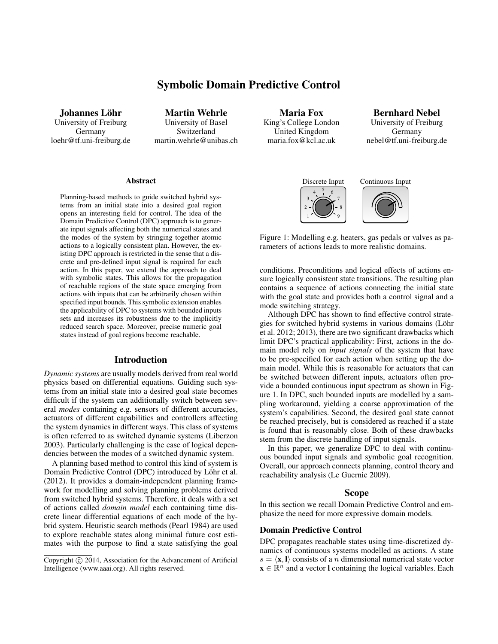# Symbolic Domain Predictive Control

Johannes Löhr University of Freiburg Germany loehr@tf.uni-freiburg.de

Martin Wehrle University of Basel Switzerland martin.wehrle@unibas.ch

#### Abstract

Planning-based methods to guide switched hybrid systems from an initial state into a desired goal region opens an interesting field for control. The idea of the Domain Predictive Control (DPC) approach is to generate input signals affecting both the numerical states and the modes of the system by stringing together atomic actions to a logically consistent plan. However, the existing DPC approach is restricted in the sense that a discrete and pre-defined input signal is required for each action. In this paper, we extend the approach to deal with symbolic states. This allows for the propagation of reachable regions of the state space emerging from actions with inputs that can be arbitrarily chosen within specified input bounds. This symbolic extension enables the applicability of DPC to systems with bounded inputs sets and increases its robustness due to the implicitly reduced search space. Moreover, precise numeric goal states instead of goal regions become reachable.

#### Introduction

*Dynamic systems* are usually models derived from real world physics based on differential equations. Guiding such systems from an initial state into a desired goal state becomes difficult if the system can additionally switch between several *modes* containing e.g. sensors of different accuracies, actuators of different capabilities and controllers affecting the system dynamics in different ways. This class of systems is often referred to as switched dynamic systems (Liberzon 2003). Particularly challenging is the case of logical dependencies between the modes of a switched dynamic system.

A planning based method to control this kind of system is Domain Predictive Control (DPC) introduced by Löhr et al. (2012). It provides a domain-independent planning framework for modelling and solving planning problems derived from switched hybrid systems. Therefore, it deals with a set of actions called *domain model* each containing time discrete linear differential equations of each mode of the hybrid system. Heuristic search methods (Pearl 1984) are used to explore reachable states along minimal future cost estimates with the purpose to find a state satisfying the goal

Maria Fox King's College London United Kingdom maria.fox@kcl.ac.uk

Bernhard Nebel University of Freiburg Germany nebel@tf.uni-freiburg.de







Figure 1: Modelling e.g. heaters, gas pedals or valves as parameters of actions leads to more realistic domains.

conditions. Preconditions and logical effects of actions ensure logically consistent state transitions. The resulting plan contains a sequence of actions connecting the initial state with the goal state and provides both a control signal and a mode switching strategy.

Although DPC has shown to find effective control strategies for switched hybrid systems in various domains (Löhr et al. 2012; 2013), there are two significant drawbacks which limit DPC's practical applicability: First, actions in the domain model rely on *input signals* of the system that have to be pre-specified for each action when setting up the domain model. While this is reasonable for actuators that can be switched between different inputs, actuators often provide a bounded continuous input spectrum as shown in Figure 1. In DPC, such bounded inputs are modelled by a sampling workaround, yielding a coarse approximation of the system's capabilities. Second, the desired goal state cannot be reached precisely, but is considered as reached if a state is found that is reasonably close. Both of these drawbacks stem from the discrete handling of input signals.

In this paper, we generalize DPC to deal with continuous bounded input signals and symbolic goal recognition. Overall, our approach connects planning, control theory and reachability analysis (Le Guernic 2009).

#### Scope

In this section we recall Domain Predictive Control and emphasize the need for more expressive domain models.

#### Domain Predictive Control

DPC propagates reachable states using time-discretized dynamics of continuous systems modelled as actions. A state  $s = \langle \mathbf{x}, \mathbf{l} \rangle$  consists of a n dimensional numerical state vector  $\mathbf{x} \in \mathbb{R}^n$  and a vector I containing the logical variables. Each

Copyright  $\odot$  2014, Association for the Advancement of Artificial Intelligence (www.aaai.org). All rights reserved.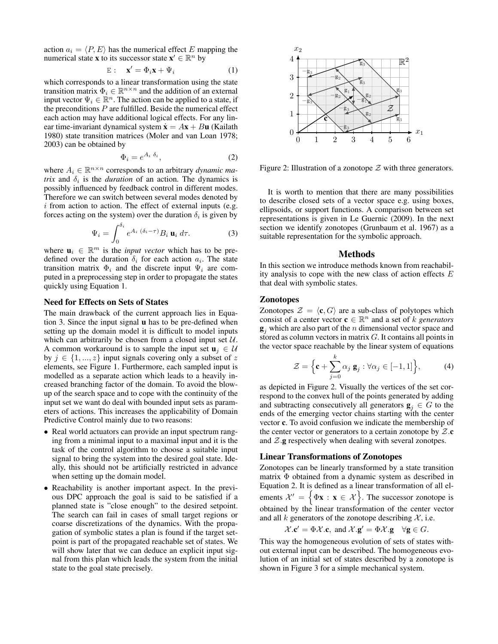action  $a_i = \langle P, E \rangle$  has the numerical effect E mapping the numerical state **x** to its successor state  $\mathbf{x}' \in \mathbb{R}^n$  by

$$
E: \quad \mathbf{x}' = \Phi_i \mathbf{x} + \Psi_i \tag{1}
$$

which corresponds to a linear transformation using the state transition matrix  $\Phi_i \in \mathbb{R}^{n \times n}$  and the addition of an external input vector  $\Psi_i \in \mathbb{R}^n$ . The action can be applied to a state, if the preconditions  $P$  are fulfilled. Beside the numerical effect each action may have additional logical effects. For any linear time-invariant dynamical system  $\dot{\mathbf{x}} = A\mathbf{x} + B\mathbf{u}$  (Kailath 1980) state transition matrices (Moler and van Loan 1978; 2003) can be obtained by

$$
\Phi_i = e^{A_i \ \delta_i},\tag{2}
$$

where  $A_i \in \mathbb{R}^{n \times n}$  corresponds to an arbitrary *dynamic matrix* and  $\delta_i$  is the *duration* of an action. The dynamics is possibly influenced by feedback control in different modes. Therefore we can switch between several modes denoted by  $i$  from action to action. The effect of external inputs (e.g. forces acting on the system) over the duration  $\delta_i$  is given by

$$
\Psi_i = \int_0^{\delta_i} e^{A_i (\delta_i - \tau)} B_i \mathbf{u}_i d\tau.
$$
 (3)

where  $\mathbf{u}_i \in \mathbb{R}^m$  is the *input vector* which has to be predefined over the duration  $\delta_i$  for each action  $a_i$ . The state transition matrix  $\Phi_i$  and the discrete input  $\Psi_i$  are computed in a preprocessing step in order to propagate the states quickly using Equation 1.

#### Need for Effects on Sets of States

The main drawback of the current approach lies in Equation 3. Since the input signal u has to be pre-defined when setting up the domain model it is difficult to model inputs which can arbitrarily be chosen from a closed input set  $U$ . A common workaround is to sample the input set  $\mathbf{u}_i \in \mathcal{U}$ by  $j \in \{1, ..., z\}$  input signals covering only a subset of z elements, see Figure 1. Furthermore, each sampled input is modelled as a separate action which leads to a heavily increased branching factor of the domain. To avoid the blowup of the search space and to cope with the continuity of the input set we want do deal with bounded input sets as parameters of actions. This increases the applicability of Domain Predictive Control mainly due to two reasons:

- Real world actuators can provide an input spectrum ranging from a minimal input to a maximal input and it is the task of the control algorithm to choose a suitable input signal to bring the system into the desired goal state. Ideally, this should not be artificially restricted in advance when setting up the domain model.
- Reachability is another important aspect. In the previous DPC approach the goal is said to be satisfied if a planned state is "close enough" to the desired setpoint. The search can fail in cases of small target regions or coarse discretizations of the dynamics. With the propagation of symbolic states a plan is found if the target setpoint is part of the propagated reachable set of states. We will show later that we can deduce an explicit input signal from this plan which leads the system from the initial state to the goal state precisely.



Figure 2: Illustration of a zonotope  $Z$  with three generators.

It is worth to mention that there are many possibilities to describe closed sets of a vector space e.g. using boxes, ellipsoids, or support functions. A comparison between set representations is given in Le Guernic (2009). In the next section we identify zonotopes (Grunbaum et al. 1967) as a suitable representation for the symbolic approach.

#### Methods

In this section we introduce methods known from reachability analysis to cope with the new class of action effects E that deal with symbolic states.

#### Zonotopes

Zonotopes  $\mathcal{Z} = \langle \mathbf{c}, G \rangle$  are a sub-class of polytopes which consist of a center vector  $\mathbf{c} \in \mathbb{R}^n$  and a set of k *generators*  $\mathbf{g}_i$  which are also part of the *n* dimensional vector space and stored as column vectors in matrix G. It contains all points in the vector space reachable by the linear system of equations

$$
\mathcal{Z} = \left\{ \mathbf{c} + \sum_{j=0}^{k} \alpha_j \, \mathbf{g}_j : \forall \alpha_j \in [-1, 1] \right\},\tag{4}
$$

as depicted in Figure 2. Visually the vertices of the set correspond to the convex hull of the points generated by adding and subtracting consecutively all generators  $\mathbf{g}_i \in G$  to the ends of the emerging vector chains starting with the center vector c. To avoid confusion we indicate the membership of the center vector or generators to a certain zonotope by  $\mathcal{Z}.\mathbf{c}$ and  $\mathcal{Z}$  g respectively when dealing with several zonotpes.

#### Linear Transformations of Zonotopes

Zonotopes can be linearly transformed by a state transition matrix Φ obtained from a dynamic system as described in Equation 2. It is defined as a linear transformation of all elements  $\mathcal{X}' = \{ \Phi \mathbf{x} : \mathbf{x} \in \mathcal{X} \}$ . The successor zonotope is obtained by the linear transformation of the center vector and all k generators of the zonotope describing  $\mathcal{X}$ , i.e.

$$
\mathcal{X}.\mathbf{c}' = \Phi \mathcal{X}.\mathbf{c}, \text{ and } \mathcal{X}.\mathbf{g}' = \Phi \mathcal{X}.\mathbf{g} \quad \forall \mathbf{g} \in G.
$$

This way the homogeneous evolution of sets of states without external input can be described. The homogeneous evolution of an initial set of states described by a zonotope is shown in Figure 3 for a simple mechanical system.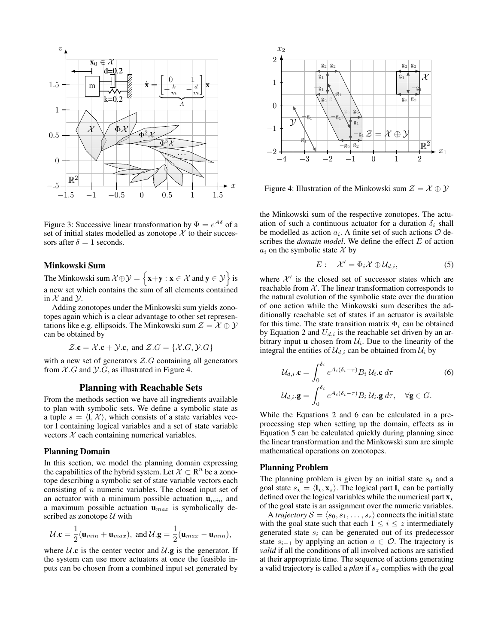

Figure 3: Successive linear transformation by  $\Phi = e^{A\delta}$  of a set of initial states modelled as zonotope  $\chi$  to their successors after  $\delta = 1$  seconds.

#### Minkowski Sum

The Minkowski sum  $\mathcal{X} \oplus \mathcal{Y} = \{ \mathbf{x} + \mathbf{y} : \mathbf{x} \in \mathcal{X} \text{ and } \mathbf{y} \in \mathcal{Y} \}$  is a new set which contains the sum of all elements contained in  $X$  and  $Y$ .

Adding zonotopes under the Minkowski sum yields zonotopes again which is a clear advantage to other set representations like e.g. ellipsoids. The Minkowski sum  $\mathcal{Z} = \mathcal{X} \oplus \mathcal{Y}$ can be obtained by

$$
\mathcal{Z}.\mathbf{c} = \mathcal{X}.\mathbf{c} + \mathcal{Y}.\mathbf{c}, \text{ and } \mathcal{Z}.G = \{ \mathcal{X}.G, \mathcal{Y}.G \}
$$

with a new set of generators  $Z.G$  containing all generators from  $X.G$  and  $Y.G$ , as illustrated in Figure 4.

#### Planning with Reachable Sets

From the methods section we have all ingredients available to plan with symbolic sets. We define a symbolic state as a tuple  $s = \langle \mathbf{l}, \mathcal{X} \rangle$ , which consists of a state variables vector l containing logical variables and a set of state variable vectors  $X$  each containing numerical variables.

## Planning Domain

In this section, we model the planning domain expressing the capabilities of the hybrid system. Let  $\mathcal{X} \subset \mathbb{R}^n$  be a zonotope describing a symbolic set of state variable vectors each consisting of  $n$  numeric variables. The closed input set of an actuator with a minimum possible actuation  $\mathbf{u}_{min}$  and a maximum possible actuation  $\mathbf{u}_{max}$  is symbolically described as zonotope  $U$  with

$$
U.\mathbf{c} = \frac{1}{2}(\mathbf{u}_{min} + \mathbf{u}_{max}), \text{ and } U.\mathbf{g} = \frac{1}{2}(\mathbf{u}_{max} - \mathbf{u}_{min}),
$$

where  $U \cdot c$  is the center vector and  $U \cdot g$  is the generator. If the system can use more actuators at once the feasible inputs can be chosen from a combined input set generated by



Figure 4: Illustration of the Minkowski sum  $\mathcal{Z} = \mathcal{X} \oplus \mathcal{Y}$ 

the Minkowski sum of the respective zonotopes. The actuation of such a continuous actuator for a duration  $\delta_i$  shall be modelled as action  $a_i$ . A finite set of such actions  $\mathcal O$  describes the *domain model*. We define the effect E of action  $a_i$  on the symbolic state X by

$$
E: \quad \mathcal{X}' = \Phi_i \mathcal{X} \oplus \mathcal{U}_{d,i}, \tag{5}
$$

where  $X'$  is the closed set of successor states which are reachable from  $X$ . The linear transformation corresponds to the natural evolution of the symbolic state over the duration of one action while the Minkowski sum describes the additionally reachable set of states if an actuator is available for this time. The state transition matrix  $\Phi_i$  can be obtained by Equation 2 and  $U_{d,i}$  is the reachable set driven by an arbitrary input **u** chosen from  $\mathcal{U}_i$ . Due to the linearity of the integral the entities of  $\mathcal{U}_{d,i}$  can be obtained from  $\mathcal{U}_i$  by

$$
\mathcal{U}_{d,i} \cdot \mathbf{c} = \int_0^{\delta_i} e^{A_i(\delta_i - \tau)} B_i \, \mathcal{U}_i \cdot \mathbf{c} \, d\tau
$$
\n
$$
\mathcal{U}_{d,i} \cdot \mathbf{g} = \int_0^{\delta_i} e^{A_i(\delta_i - \tau)} B_i \, \mathcal{U}_i \cdot \mathbf{g} \, d\tau, \quad \forall \mathbf{g} \in G.
$$
\n(6)

While the Equations 2 and 6 can be calculated in a preprocessing step when setting up the domain, effects as in Equation 5 can be calculated quickly during planning since the linear transformation and the Minkowski sum are simple mathematical operations on zonotopes.

#### Planning Problem

The planning problem is given by an initial state  $s_0$  and a goal state  $s_{\star} = \langle \mathbf{l}_{\star}, \mathbf{x}_{\star} \rangle$ . The logical part  $\mathbf{l}_{\star}$  can be partially defined over the logical variables while the numerical part  $x_{\star}$ of the goal state is an assignment over the numeric variables.

A *trajectory*  $S = \langle s_0, s_1, \ldots, s_z \rangle$  connects the initial state with the goal state such that each  $1 \leq i \leq z$  intermediately generated state  $s_i$  can be generated out of its predecessor state  $s_{i-1}$  by applying an action  $a \in \mathcal{O}$ . The trajectory is *valid* if all the conditions of all involved actions are satisfied at their appropriate time. The sequence of actions generating a valid trajectory is called a *plan* if s<sup>z</sup> complies with the goal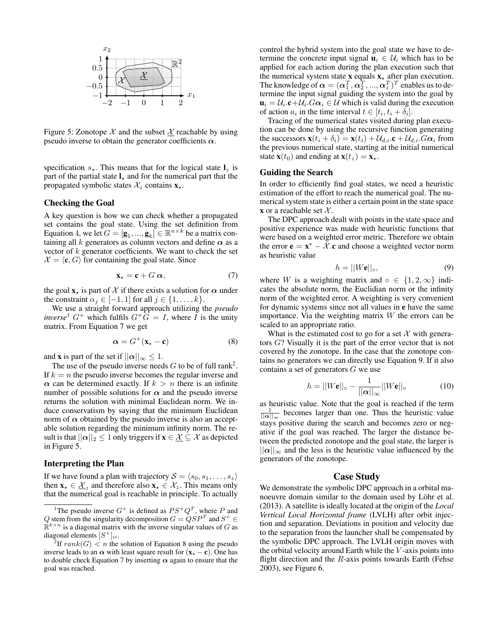

Figure 5: Zonotope  $\mathcal X$  and the subset  $\underline{\mathcal X}$  reachable by using pseudo inverse to obtain the generator coefficients  $\alpha$ .

specification  $s_{\star}$ . This means that for the logical state  $\mathbf{l}_z$  is part of the partial state  $\mathbf{l}_\star$  and for the numerical part that the propagated symbolic states  $\mathcal{X}_z$  contains  $\mathbf{x}_*$ .

#### Checking the Goal

A key question is how we can check whether a propagated set contains the goal state. Using the set definition from Equation 4, we let  $G = [\mathbf{g}_1, ..., \mathbf{g}_k] \in \mathbb{R}^{n \times k}$  be a matrix containing all k generators as column vectors and define  $\alpha$  as a vector of  $k$  generator coefficients. We want to check the set  $\mathcal{X} = \langle \mathbf{c}, G \rangle$  for containing the goal state. Since

$$
\mathbf{x}_{\star} = \mathbf{c} + G \, \boldsymbol{\alpha},\tag{7}
$$

the goal  $\mathbf{x}_*$  is part of X if there exists a solution for  $\alpha$  under the constraint  $\alpha_j \in [-1, 1]$  for all  $j \in \{1, \ldots, k\}.$ 

We use a straight forward approach utilizing the *pseudo inverse*<sup>1</sup>  $G^+$  which fulfils  $G^+G = I$ , where I is the unity matrix. From Equation 7 we get

$$
\alpha = G^+({\bf x}_\star - {\bf c}) \tag{8}
$$

and **x** is part of the set if  $||\alpha||_{\infty} \leq 1$ .

The use of the pseudo inverse needs  $G$  to be of full rank<sup>2</sup>. If  $k = n$  the pseudo inverse becomes the regular inverse and  $\alpha$  can be determined exactly. If  $k > n$  there is an infinite number of possible solutions for  $\alpha$  and the pseudo inverse returns the solution with minimal Euclidean norm. We induce conservatism by saying that the minimum Euclidean norm of  $\alpha$  obtained by the pseudo inverse is also an acceptable solution regarding the minimum infinity norm. The result is that  $||\alpha||_2 \leq 1$  only triggers if  $\mathbf{x} \in \mathcal{X} \subseteq \mathcal{X}$  as depicted in Figure 5.

#### Interpreting the Plan

If we have found a plan with trajectory  $S = \langle s_0, s_1, \ldots, s_z \rangle$ then  $\mathbf{x}_{\star} \in \mathcal{X}_z$  and therefore also  $\mathbf{x}_{\star} \in \mathcal{X}_z$ . This means only that the numerical goal is reachable in principle. To actually

control the hybrid system into the goal state we have to determine the concrete input signal  $\mathbf{u}_i \in \mathcal{U}_i$  which has to be applied for each action during the plan execution such that the numerical system state  $x$  equals  $x_{\star}$  after plan execution. The knowledge of  $\boldsymbol{\alpha} = (\boldsymbol{\alpha}_1^T, \boldsymbol{\alpha}_2^T, ..., \boldsymbol{\alpha}_z^T)^T$  enables us to determine the input signal guiding the system into the goal by  $\mathbf{u}_i = \mathcal{U}_i \cdot \mathbf{c} + \mathcal{U}_i \cdot G \alpha_i \in \mathcal{U}$  which is valid during the execution of action  $a_i$  in the time interval  $t \in [t_i, t_i + \delta_i]$ .

Tracing of the numerical states visited during plan execution can be done by using the recursive function generating the successors  $\mathbf{x}(t_i + \delta_i) = \mathbf{x}(t_i) + \mathcal{U}_{d,i} \cdot \mathbf{c} + \mathcal{U}_{d,i} \cdot G \alpha_i$  from the previous numerical state, starting at the initial numerical state  $\mathbf{x}(t_0)$  and ending at  $\mathbf{x}(t_z) = \mathbf{x}_*$ .

#### Guiding the Search

In order to efficiently find goal states, we need a heuristic estimation of the effort to reach the numerical goal. The numerical system state is either a certain point in the state space **x** or a reachable set  $\mathcal{X}$ .

The DPC approach dealt with points in the state space and positive experience was made with heuristic functions that were based on a weighted error metric. Therefore we obtain the error  $\mathbf{e} = \mathbf{x}^* - \mathcal{X} \cdot \mathbf{c}$  and choose a weighted vector norm as heuristic value

$$
h = ||W\mathbf{e}||_{\circ},\tag{9}
$$

where W is a weighting matrix and ∘ ∈  $\{1, 2, \infty\}$  indicates the absolute norm, the Euclidian norm or the infinity norm of the weighted error. A weighting is very convenient for dynamic systems since not all values in e have the same importance. Via the weighting matrix  $W$  the errors can be scaled to an appropriate ratio.

What is the estimated cost to go for a set  $X$  with generators G? Visually it is the part of the error vector that is not covered by the zonotope. In the case that the zonotope contains no generators we can directly use Equation 9. If it also contains a set of generators  $G$  we use

$$
h = ||W\mathbf{e}||_{\circ} - \frac{1}{||\mathbf{\alpha}||_{\infty}}||W\mathbf{e}||_{\circ} \tag{10}
$$

as heuristic value. Note that the goal is reached if the term  $\frac{1}{||\alpha||_{\infty}}$  becomes larger than one. Thus the heuristic value stays positive during the search and becomes zero or negative if the goal was reached. The larger the distance between the predicted zonotope and the goal state, the larger is  $||\alpha||_{\infty}$  and the less is the heuristic value influenced by the generators of the zonotope.

#### Case Study

We demonstrate the symbolic DPC approach in a orbital manoeuvre domain similar to the domain used by Löhr et al. (2013). A satellite is ideally located at the origin of the *Local Vertical Local Horizontal frame* (LVLH) after orbit injection and separation. Deviations in position and velocity due to the separation from the launcher shall be compensated by the symbolic DPC approach. The LVLH origin moves with the orbital velocity around Earth while the  $V$ -axis points into flight direction and the  $R$ -axis points towards Earth (Fehse 2003), see Figure 6.

<sup>&</sup>lt;sup>1</sup>The pseudo inverse  $G^+$  is defined as  $PS^+Q^T$ , where P and Q stem from the singularity decomposition  $G = \dot{Q} S P^T$  and  $S^+ \in$  $\mathbb{R}^{k \times n}$  is a diagonal matrix with the inverse singular values of G as diagonal elements  $[S^+]_{ii}$ .

<sup>&</sup>lt;sup>2</sup>If  $rank(G) < n$  the solution of Equation 8 using the pseudo inverse leads to an  $\alpha$  with least square result for  $(x_{\star} - c)$ . One has to double check Equation 7 by inserting  $\alpha$  again to ensure that the goal was reached.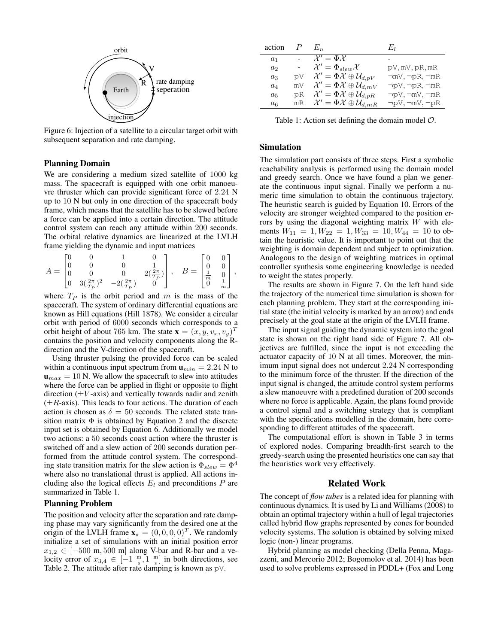

Figure 6: Injection of a satellite to a circular target orbit with subsequent separation and rate damping.

## Planning Domain

We are considering a medium sized satellite of 1000 kg mass. The spacecraft is equipped with one orbit manoeuvre thruster which can provide significant force of 2.24 N up to 10 N but only in one direction of the spacecraft body frame, which means that the satellite has to be slewed before a force can be applied into a certain direction. The attitude control system can reach any attitude within 200 seconds. The orbital relative dynamics are linearized at the LVLH frame yielding the dynamic and input matrices

| $A =$ |  | $\overline{0}$<br>$\begin{bmatrix} 0 & 3(\frac{2\pi}{T_P})^2 & -2(\frac{2\pi}{T_P}) \end{bmatrix}$ | $2(\frac{2\pi}{T_P})\Big\vert$ , | $B = \begin{bmatrix} 0 & 0 \\ 0 & 0 \\ \frac{1}{m} & 0 \\ 0 & \frac{1}{m} \end{bmatrix},$ |  |  |
|-------|--|----------------------------------------------------------------------------------------------------|----------------------------------|-------------------------------------------------------------------------------------------|--|--|
|       |  |                                                                                                    |                                  |                                                                                           |  |  |

where  $T_P$  is the orbit period and m is the mass of the spacecraft. The system of ordinary differential equations are known as Hill equations (Hill 1878). We consider a circular orbit with period of 6000 seconds which corresponds to a orbit height of about 765 km. The state  $\mathbf{x} = (x, y, v_x, v_y)^T$ contains the position and velocity components along the Rdirection and the V-direction of the spacecraft.

Using thruster pulsing the provided force can be scaled within a continuous input spectrum from  $\mathbf{u}_{min} = 2.24$  N to  **N. We allow the spacecraft to slew into attitudes** where the force can be applied in flight or opposite to flight direction  $(\pm V$ -axis) and vertically towards nadir and zenith  $(\pm R$ -axis). This leads to four actions. The duration of each action is chosen as  $\delta = 50$  seconds. The related state transition matrix  $\Phi$  is obtained by Equation 2 and the discrete input set is obtained by Equation 6. Additionally we model two actions: a 50 seconds coast action where the thruster is switched off and a slew action of 200 seconds duration performed from the attitude control system. The corresponding state transition matrix for the slew action is  $\Phi_{slew} = \Phi^4$ where also no translational thrust is applied. All actions including also the logical effects  $E_l$  and preconditions  $P$  are summarized in Table 1.

#### Planning Problem

The position and velocity after the separation and rate damping phase may vary significantly from the desired one at the origin of the LVLH frame  $\mathbf{x}_{\star} = (0, 0, 0, 0)^{T}$ . We randomly initialize a set of simulations with an initial position error  $x_{1,2} \in [-500 \text{ m}, 500 \text{ m}]$  along V-bar and R-bar and a velocity error of  $x_{3,4} \in \left[-1 \frac{m}{s}, 1 \frac{m}{s}\right]$  in both directions, see Table 2. The attitude after rate damping is known as pV.

| action         |    | $E_n$                                                          | Eл                          |
|----------------|----|----------------------------------------------------------------|-----------------------------|
| $a_1$          |    | $\mathcal{X}' = \Phi \mathcal{X}$                              |                             |
| a <sub>2</sub> |    | $\mathcal{X}'=\Phi_{slow}\mathcal{X}$                          | pV, mV, pR, mR              |
| $a_3$          | Va | $\mathcal{X}'=\Phi\mathcal{X}\oplus\mathcal{U}_{d,pV}$         | $\neg mV, \neg pR, \neg mR$ |
| $a_4$          |    | mV $\mathcal{X}' = \Phi \mathcal{X} \oplus \mathcal{U}_{d,mV}$ | $\neg pV, \neg pR, \neg mR$ |
| $a_5$          | рR | $\mathcal{X}'=\Phi\mathcal{X}\oplus\mathcal{U}_{d,pR}$         | $\neg pV, \neg mV, \neg mR$ |
| $a_6$          |    | mR $\mathcal{X}' = \Phi \mathcal{X} \oplus \mathcal{U}_{d,mR}$ | $\neg pV, \neg mV, \neg pR$ |

Table 1: Action set defining the domain model  $\mathcal{O}$ .

## Simulation

The simulation part consists of three steps. First a symbolic reachability analysis is performed using the domain model and greedy search. Once we have found a plan we generate the continuous input signal. Finally we perform a numeric time simulation to obtain the continuous trajectory. The heuristic search is guided by Equation 10. Errors of the velocity are stronger weighted compared to the position errors by using the diagonal weighting matrix  $W$  with elements  $W_{11} = 1, W_{22} = 1, W_{33} = 10, W_{44} = 10$  to obtain the heuristic value. It is important to point out that the weighting is domain dependent and subject to optimization. Analogous to the design of weighting matrices in optimal controller synthesis some engineering knowledge is needed to weight the states properly.

The results are shown in Figure 7. On the left hand side the trajectory of the numerical time simulation is shown for each planning problem. They start at the corresponding initial state (the initial velocity is marked by an arrow) and ends precisely at the goal state at the origin of the LVLH frame.

The input signal guiding the dynamic system into the goal state is shown on the right hand side of Figure 7. All objectives are fulfilled, since the input is not exceeding the actuator capacity of 10 N at all times. Moreover, the minimum input signal does not undercut 2.24 N corresponding to the minimum force of the thruster. If the direction of the input signal is changed, the attitude control system performs a slew manoeuvre with a predefined duration of 200 seconds where no force is applicable. Again, the plans found provide a control signal and a switching strategy that is compliant with the specifications modelled in the domain, here corresponding to different attitudes of the spacecraft.

The computational effort is shown in Table 3 in terms of explored nodes. Comparing breadth-first search to the greedy-search using the presented heuristics one can say that the heuristics work very effectively.

#### Related Work

The concept of *flow tubes* is a related idea for planning with continuous dynamics. It is used by Li and Williams (2008) to obtain an optimal trajectory within a hull of legal trajectories called hybrid flow graphs represented by cones for bounded velocity systems. The solution is obtained by solving mixed logic (non-) linear programs.

Hybrid planning as model checking (Della Penna, Magazzeni, and Mercorio 2012; Bogomolov et al. 2014) has been used to solve problems expressed in PDDL+ (Fox and Long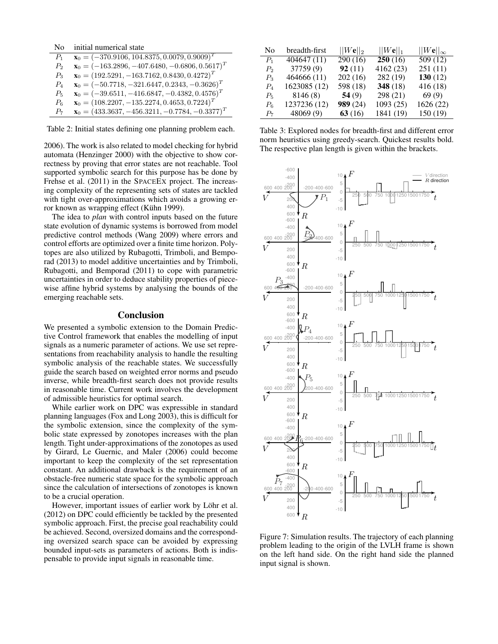No initial numerical state

| $P_{1}$        | $\mathbf{x}_0 = (-370.9106, 104.8375, 0.0079, 0.9009)^T$   |
|----------------|------------------------------------------------------------|
| P <sub>2</sub> | $\mathbf{x}_0 = (-163.2896, -407.6480, -0.6806, 0.5617)^T$ |
| $P_3$          | $\mathbf{x}_0 = (192.5291, -163.7162, 0.8430, 0.4272)^T$   |
| $P_4$          | $\mathbf{x}_0 = (-50.7718, -321.6447, 0.2343, -0.3626)^T$  |
| $P_5$          | $\mathbf{x}_0 = (-39.6511, -416.6847, -0.4382, 0.4576)^T$  |
| $P_6$          | $\mathbf{x}_0 = (108.2207, -135.2274, 0.4653, 0.7224)^T$   |
| $P_7$          | $\mathbf{x}_0 = (433.3637, -456.3211, -0.7784, -0.3377)^T$ |
|                |                                                            |

Table 2: Initial states defining one planning problem each.

2006). The work is also related to model checking for hybrid automata (Henzinger 2000) with the objective to show correctness by proving that error states are not reachable. Tool supported symbolic search for this purpose has be done by Frehse et al. (2011) in the SPACEEX project. The increasing complexity of the representing sets of states are tackled with tight over-approximations which avoids a growing error known as wrapping effect (Kühn 1999).

The idea to *plan* with control inputs based on the future state evolution of dynamic systems is borrowed from model predictive control methods (Wang 2009) where errors and control efforts are optimized over a finite time horizon. Polytopes are also utilized by Rubagotti, Trimboli, and Bemporad (2013) to model additive uncertainties and by Trimboli, Rubagotti, and Bemporad (2011) to cope with parametric uncertainties in order to deduce stability properties of piecewise affine hybrid systems by analysing the bounds of the emerging reachable sets.

#### Conclusion

We presented a symbolic extension to the Domain Predictive Control framework that enables the modelling of input signals as a numeric parameter of actions. We use set representations from reachability analysis to handle the resulting symbolic analysis of the reachable states. We successfully guide the search based on weighted error norms and pseudo inverse, while breadth-first search does not provide results in reasonable time. Current work involves the development of admissible heuristics for optimal search.

While earlier work on DPC was expressible in standard planning languages (Fox and Long 2003), this is difficult for the symbolic extension, since the complexity of the symbolic state expressed by zonotopes increases with the plan length. Tight under-approximations of the zonotopes as used by Girard, Le Guernic, and Maler (2006) could become important to keep the complexity of the set representation constant. An additional drawback is the requirement of an obstacle-free numeric state space for the symbolic approach since the calculation of intersections of zonotopes is known to be a crucial operation.

However, important issues of earlier work by Löhr et al. (2012) on DPC could efficiently be tackled by the presented symbolic approach. First, the precise goal reachability could be achieved. Second, oversized domains and the corresponding oversized search space can be avoided by expressing bounded input-sets as parameters of actions. Both is indispensable to provide input signals in reasonable time.

| No             | breadth-first | $  We  _2$ | $  We  _1$ | $  W{\bf e}  _\infty$ |
|----------------|---------------|------------|------------|-----------------------|
| $P_1$          | 404647(11)    | 290(16)    | 250(16)    | 509 (12)              |
| P <sub>2</sub> | 37759(9)      | 92(11)     | 4162 (23)  | 251(11)               |
| $P_3$          | 464666 (11)   | 202(16)    | 282 (19)   | 130 $(12)$            |
| $P_4$          | 1623085 (12)  | 598 (18)   | 348 $(18)$ | 416 (18)              |
| $P_5$          | 8146 (8)      | 54(9)      | 298 (21)   | 69(9)                 |
| $P_6$          | 1237236 (12)  | 989 (24)   | 1093 (25)  | 1626 (22)             |
| $P_7$          | 48069(9)      | 63(16)     | 1841 (19)  | 150 (19)              |

Table 3: Explored nodes for breadth-first and different error norm heuristics using greedy-search. Quickest results bold. The respective plan length is given within the brackets.



Figure 7: Simulation results. The trajectory of each planning problem leading to the origin of the LVLH frame is shown on the left hand side. On the right hand side the planned input signal is shown.